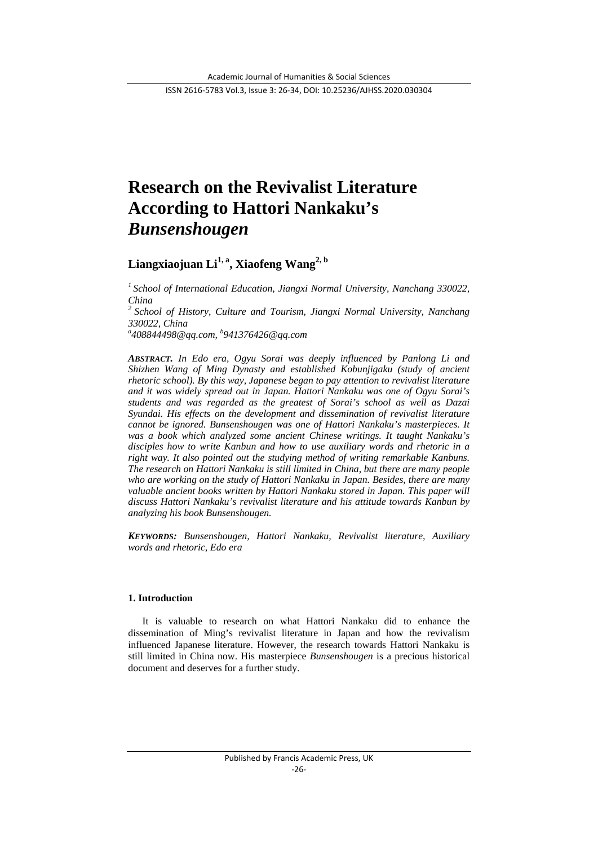# **Research on the Revivalist Literature According to Hattori Nankaku's**  *Bunsenshougen*

## Liangxiaojuan Li<sup>1, a</sup>, Xiaofeng Wang<sup>2, b</sup>

*1 School of International Education, Jiangxi Normal University, Nanchang 330022, China*

*2 School of History, Culture and Tourism, Jiangxi Normal University, Nanchang 330022, China*

*a 408844498@qq.com, b 941376426@qq.com*

*ABSTRACT. In Edo era, Ogyu Sorai was deeply influenced by Panlong Li and Shizhen Wang of Ming Dynasty and established Kobunjigaku (study of ancient rhetoric school). By this way, Japanese began to pay attention to revivalist literature and it was widely spread out in Japan. Hattori Nankaku was one of Ogyu Sorai's students and was regarded as the greatest of Sorai's school as well as Dazai Syundai. His effects on the development and dissemination of revivalist literature cannot be ignored. Bunsenshougen was one of Hattori Nankaku's masterpieces. It was a book which analyzed some ancient Chinese writings. It taught Nankaku's disciples how to write Kanbun and how to use auxiliary words and rhetoric in a right way. It also pointed out the studying method of writing remarkable Kanbuns. The research on Hattori Nankaku is still limited in China, but there are many people who are working on the study of Hattori Nankaku in Japan. Besides, there are many valuable ancient books written by Hattori Nankaku stored in Japan. This paper will discuss Hattori Nankaku's revivalist literature and his attitude towards Kanbun by analyzing his book Bunsenshougen.*

*KEYWORDS: Bunsenshougen, Hattori Nankaku, Revivalist literature, Auxiliary words and rhetoric, Edo era*

## **1. Introduction**

It is valuable to research on what Hattori Nankaku did to enhance the dissemination of Ming's revivalist literature in Japan and how the revivalism influenced Japanese literature. However, the research towards Hattori Nankaku is still limited in China now. His masterpiece *Bunsenshougen* is a precious historical document and deserves for a further study.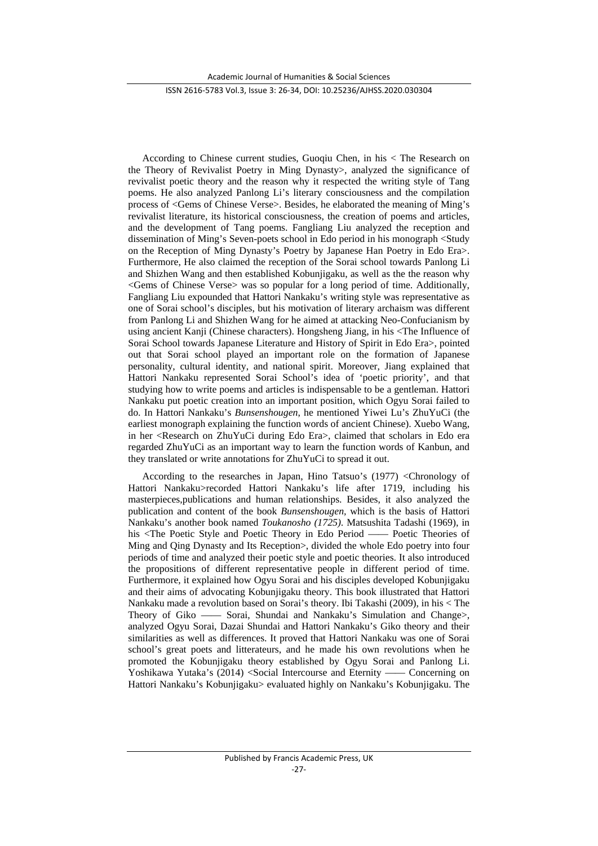According to Chinese current studies, Guoqiu Chen, in his < The Research on the Theory of Revivalist Poetry in Ming Dynasty>, analyzed the significance of revivalist poetic theory and the reason why it respected the writing style of Tang poems. He also analyzed Panlong Li's literary consciousness and the compilation process of <Gems of Chinese Verse>. Besides, he elaborated the meaning of Ming's revivalist literature, its historical consciousness, the creation of poems and articles, and the development of Tang poems. Fangliang Liu analyzed the reception and dissemination of Ming's Seven-poets school in Edo period in his monograph <Study on the Reception of Ming Dynasty's Poetry by Japanese Han Poetry in Edo Era>. Furthermore, He also claimed the reception of the Sorai school towards Panlong Li and Shizhen Wang and then established Kobunjigaku, as well as the the reason why <Gems of Chinese Verse> was so popular for a long period of time. Additionally, Fangliang Liu expounded that Hattori Nankaku's writing style was representative as one of Sorai school's disciples, but his motivation of literary archaism was different from Panlong Li and Shizhen Wang for he aimed at attacking Neo-Confucianism by using ancient Kanji (Chinese characters). Hongsheng Jiang, in his <The Influence of Sorai School towards Japanese Literature and History of Spirit in Edo Era>, pointed out that Sorai school played an important role on the formation of Japanese personality, cultural identity, and national spirit. Moreover, Jiang explained that Hattori Nankaku represented Sorai School's idea of 'poetic priority', and that studying how to write poems and articles is indispensable to be a gentleman. Hattori Nankaku put poetic creation into an important position, which Ogyu Sorai failed to do. In Hattori Nankaku's *Bunsenshougen*, he mentioned Yiwei Lu's ZhuYuCi (the earliest monograph explaining the function words of ancient Chinese). Xuebo Wang, in her <Research on ZhuYuCi during Edo Era>, claimed that scholars in Edo era regarded ZhuYuCi as an important way to learn the function words of Kanbun, and they translated or write annotations for ZhuYuCi to spread it out.

According to the researches in Japan, Hino Tatsuo's (1977) <Chronology of Hattori Nankaku>recorded Hattori Nankaku's life after 1719, including his masterpieces,publications and human relationships. Besides, it also analyzed the publication and content of the book *Bunsenshougen,* which is the basis of Hattori Nankaku's another book named *Toukanosho (1725)*. Matsushita Tadashi (1969), in his <The Poetic Style and Poetic Theory in Edo Period —— Poetic Theories of Ming and Qing Dynasty and Its Reception>, divided the whole Edo poetry into four periods of time and analyzed their poetic style and poetic theories. It also introduced the propositions of different representative people in different period of time. Furthermore, it explained how Ogyu Sorai and his disciples developed Kobunjigaku and their aims of advocating Kobunjigaku theory. This book illustrated that Hattori Nankaku made a revolution based on Sorai's theory. Ibi Takashi (2009), in his < The Theory of Giko —— Sorai, Shundai and Nankaku's Simulation and Change>, analyzed Ogyu Sorai, Dazai Shundai and Hattori Nankaku's Giko theory and their similarities as well as differences. It proved that Hattori Nankaku was one of Sorai school's great poets and litterateurs, and he made his own revolutions when he promoted the Kobunjigaku theory established by Ogyu Sorai and Panlong Li. Yoshikawa Yutaka's (2014) <Social Intercourse and Eternity —— Concerning on Hattori Nankaku's Kobunjigaku> evaluated highly on Nankaku's Kobunjigaku. The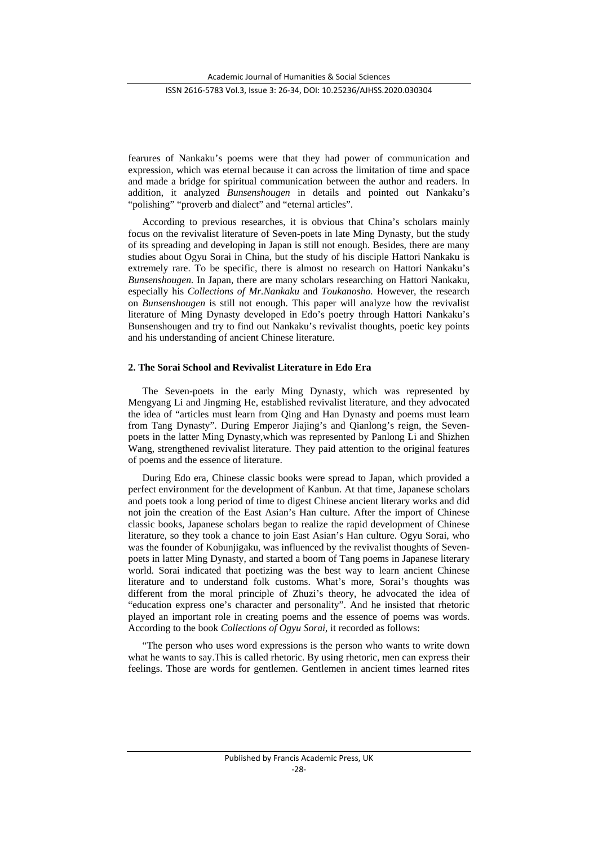Academic Journal of Humanities & Social Sciences

#### ISSN 2616-5783 Vol.3, Issue 3: 26-34, DOI: 10.25236/AJHSS.2020.030304

fearures of Nankaku's poems were that they had power of communication and expression, which was eternal because it can across the limitation of time and space and made a bridge for spiritual communication between the author and readers. In addition, it analyzed *Bunsenshougen* in details and pointed out Nankaku's "polishing" "proverb and dialect" and "eternal articles".

According to previous researches, it is obvious that China's scholars mainly focus on the revivalist literature of Seven-poets in late Ming Dynasty, but the study of its spreading and developing in Japan is still not enough. Besides, there are many studies about Ogyu Sorai in China, but the study of his disciple Hattori Nankaku is extremely rare. To be specific, there is almost no research on Hattori Nankaku's *Bunsenshougen.* In Japan, there are many scholars researching on Hattori Nankaku, especially his *Collections of Mr.Nankaku* and *Toukanosho.* However, the research on *Bunsenshougen* is still not enough. This paper will analyze how the revivalist literature of Ming Dynasty developed in Edo's poetry through Hattori Nankaku's Bunsenshougen and try to find out Nankaku's revivalist thoughts, poetic key points and his understanding of ancient Chinese literature.

## **2. The Sorai School and Revivalist Literature in Edo Era**

The Seven-poets in the early Ming Dynasty, which was represented by Mengyang Li and Jingming He, established revivalist literature, and they advocated the idea of "articles must learn from Qing and Han Dynasty and poems must learn from Tang Dynasty". During Emperor Jiajing's and Qianlong's reign, the Sevenpoets in the latter Ming Dynasty,which was represented by Panlong Li and Shizhen Wang, strengthened revivalist literature. They paid attention to the original features of poems and the essence of literature.

During Edo era, Chinese classic books were spread to Japan, which provided a perfect environment for the development of Kanbun. At that time, Japanese scholars and poets took a long period of time to digest Chinese ancient literary works and did not join the creation of the East Asian's Han culture. After the import of Chinese classic books, Japanese scholars began to realize the rapid development of Chinese literature, so they took a chance to join East Asian's Han culture. Ogyu Sorai, who was the founder of Kobunjigaku, was influenced by the revivalist thoughts of Sevenpoets in latter Ming Dynasty, and started a boom of Tang poems in Japanese literary world. Sorai indicated that poetizing was the best way to learn ancient Chinese literature and to understand folk customs. What's more, Sorai's thoughts was different from the moral principle of Zhuzi's theory, he advocated the idea of "education express one's character and personality". And he insisted that rhetoric played an important role in creating poems and the essence of poems was words. According to the book *Collections of Ogyu Sorai*, it recorded as follows:

"The person who uses word expressions is the person who wants to write down what he wants to say.This is called rhetoric. By using rhetoric, men can express their feelings. Those are words for gentlemen. Gentlemen in ancient times learned rites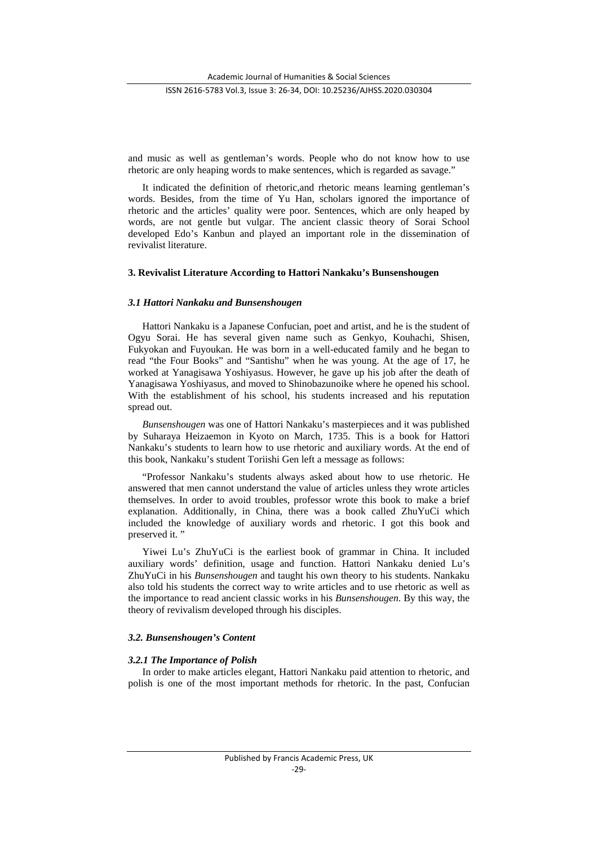Academic Journal of Humanities & Social Sciences

ISSN 2616-5783 Vol.3, Issue 3: 26-34, DOI: 10.25236/AJHSS.2020.030304

and music as well as gentleman's words. People who do not know how to use rhetoric are only heaping words to make sentences, which is regarded as savage."

It indicated the definition of rhetoric,and rhetoric means learning gentleman's words. Besides, from the time of Yu Han, scholars ignored the importance of rhetoric and the articles' quality were poor. Sentences, which are only heaped by words, are not gentle but vulgar. The ancient classic theory of Sorai School developed Edo's Kanbun and played an important role in the dissemination of revivalist literature.

#### **3. Revivalist Literature According to Hattori Nankaku's Bunsenshougen**

## *3.1 Hattori Nankaku and Bunsenshougen*

Hattori Nankaku is a Japanese Confucian, poet and artist, and he is the student of Ogyu Sorai. He has several given name such as Genkyo, Kouhachi, Shisen, Fukyokan and Fuyoukan. He was born in a well-educated family and he began to read "the Four Books" and "Santishu" when he was young. At the age of 17, he worked at Yanagisawa Yoshiyasus. However, he gave up his job after the death of Yanagisawa Yoshiyasus, and moved to Shinobazunoike where he opened his school. With the establishment of his school, his students increased and his reputation spread out.

*Bunsenshougen* was one of Hattori Nankaku's masterpieces and it was published by Suharaya Heizaemon in Kyoto on March, 1735. This is a book for Hattori Nankaku's students to learn how to use rhetoric and auxiliary words. At the end of this book, Nankaku's student Toriishi Gen left a message as follows:

"Professor Nankaku's students always asked about how to use rhetoric. He answered that men cannot understand the value of articles unless they wrote articles themselves. In order to avoid troubles, professor wrote this book to make a brief explanation. Additionally, in China, there was a book called ZhuYuCi which included the knowledge of auxiliary words and rhetoric. I got this book and preserved it."

Yiwei Lu's ZhuYuCi is the earliest book of grammar in China. It included auxiliary words' definition, usage and function. Hattori Nankaku denied Lu's ZhuYuCi in his *Bunsenshougen* and taught his own theory to his students. Nankaku also told his students the correct way to write articles and to use rhetoric as well as the importance to read ancient classic works in his *Bunsenshougen*. By this way, the theory of revivalism developed through his disciples.

#### *3.2. Bunsenshougen's Content*

#### *3.2.1 The Importance of Polish*

In order to make articles elegant, Hattori Nankaku paid attention to rhetoric, and polish is one of the most important methods for rhetoric. In the past, Confucian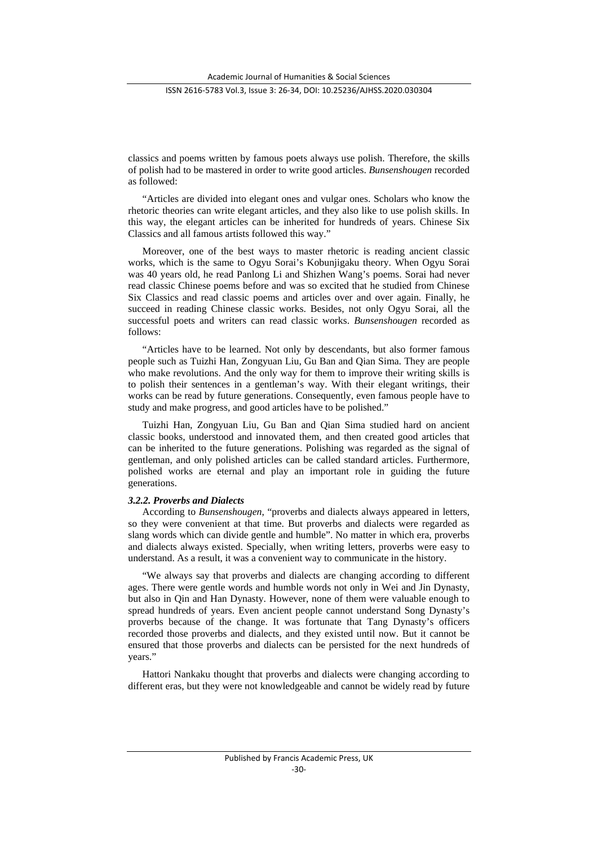Academic Journal of Humanities & Social Sciences

ISSN 2616-5783 Vol.3, Issue 3: 26-34, DOI: 10.25236/AJHSS.2020.030304

classics and poems written by famous poets always use polish. Therefore, the skills of polish had to be mastered in order to write good articles. *Bunsenshougen* recorded as followed:

"Articles are divided into elegant ones and vulgar ones. Scholars who know the rhetoric theories can write elegant articles, and they also like to use polish skills. In this way, the elegant articles can be inherited for hundreds of years. Chinese Six Classics and all famous artists followed this way."

Moreover, one of the best ways to master rhetoric is reading ancient classic works, which is the same to Ogyu Sorai's Kobunjigaku theory. When Ogyu Sorai was 40 years old, he read Panlong Li and Shizhen Wang's poems. Sorai had never read classic Chinese poems before and was so excited that he studied from Chinese Six Classics and read classic poems and articles over and over again. Finally, he succeed in reading Chinese classic works. Besides, not only Ogyu Sorai, all the successful poets and writers can read classic works. *Bunsenshougen* recorded as follows:

"Articles have to be learned. Not only by descendants, but also former famous people such as Tuizhi Han, Zongyuan Liu, Gu Ban and Qian Sima. They are people who make revolutions. And the only way for them to improve their writing skills is to polish their sentences in a gentleman's way. With their elegant writings, their works can be read by future generations. Consequently, even famous people have to study and make progress, and good articles have to be polished."

Tuizhi Han, Zongyuan Liu, Gu Ban and Qian Sima studied hard on ancient classic books, understood and innovated them, and then created good articles that can be inherited to the future generations. Polishing was regarded as the signal of gentleman, and only polished articles can be called standard articles. Furthermore, polished works are eternal and play an important role in guiding the future generations.

#### *3.2.2. Proverbs and Dialects*

According to *Bunsenshougen*, "proverbs and dialects always appeared in letters, so they were convenient at that time. But proverbs and dialects were regarded as slang words which can divide gentle and humble". No matter in which era, proverbs and dialects always existed. Specially, when writing letters, proverbs were easy to understand. As a result, it was a convenient way to communicate in the history.

"We always say that proverbs and dialects are changing according to different ages. There were gentle words and humble words not only in Wei and Jin Dynasty, but also in Qin and Han Dynasty. However, none of them were valuable enough to spread hundreds of years. Even ancient people cannot understand Song Dynasty's proverbs because of the change. It was fortunate that Tang Dynasty's officers recorded those proverbs and dialects, and they existed until now. But it cannot be ensured that those proverbs and dialects can be persisted for the next hundreds of years."

Hattori Nankaku thought that proverbs and dialects were changing according to different eras, but they were not knowledgeable and cannot be widely read by future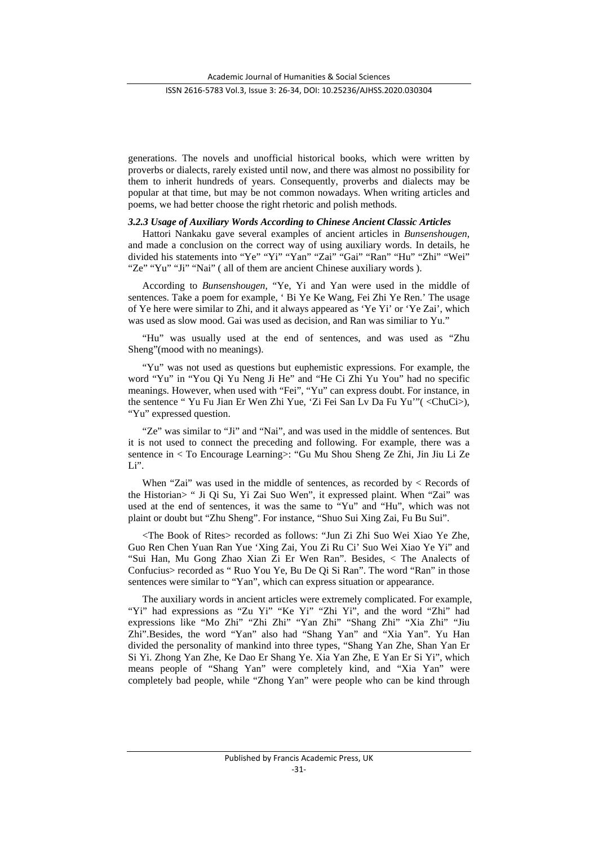generations. The novels and unofficial historical books, which were written by proverbs or dialects, rarely existed until now, and there was almost no possibility for them to inherit hundreds of years. Consequently, proverbs and dialects may be popular at that time, but may be not common nowadays. When writing articles and poems, we had better choose the right rhetoric and polish methods.

#### *3.2.3 Usage of Auxiliary Words According to Chinese Ancient Classic Articles*

Hattori Nankaku gave several examples of ancient articles in *Bunsenshougen*, and made a conclusion on the correct way of using auxiliary words. In details, he divided his statements into "Ye" "Yi" "Yan" "Zai" "Gai" "Ran" "Hu" "Zhi" "Wei" "Ze" "Yu" "Ji" "Nai" ( all of them are ancient Chinese auxiliary words ).

According to *Bunsenshougen*, "Ye, Yi and Yan were used in the middle of sentences. Take a poem for example, ' Bi Ye Ke Wang, Fei Zhi Ye Ren.' The usage of Ye here were similar to Zhi, and it always appeared as 'Ye Yi' or 'Ye Zai', which was used as slow mood. Gai was used as decision, and Ran was similiar to Yu."

"Hu" was usually used at the end of sentences, and was used as "Zhu Sheng"(mood with no meanings).

"Yu" was not used as questions but euphemistic expressions. For example, the word "Yu" in "You Qi Yu Neng Ji He" and "He Ci Zhi Yu You" had no specific meanings. However, when used with "Fei", "Yu" can express doubt. For instance, in the sentence " Yu Fu Jian Er Wen Zhi Yue, 'Zi Fei San Lv Da Fu Yu'"( <ChuCi>), "Yu" expressed question.

"Ze" was similar to "Ji" and "Nai", and was used in the middle of sentences. But it is not used to connect the preceding and following. For example, there was a sentence in < To Encourage Learning>: "Gu Mu Shou Sheng Ze Zhi, Jin Jiu Li Ze Li".

When "Zai" was used in the middle of sentences, as recorded by < Records of the Historian> " Ji Qi Su, Yi Zai Suo Wen", it expressed plaint. When "Zai" was used at the end of sentences, it was the same to "Yu" and "Hu", which was not plaint or doubt but "Zhu Sheng". For instance, "Shuo Sui Xing Zai, Fu Bu Sui".

<The Book of Rites> recorded as follows: "Jun Zi Zhi Suo Wei Xiao Ye Zhe, Guo Ren Chen Yuan Ran Yue 'Xing Zai, You Zi Ru Ci' Suo Wei Xiao Ye Yi" and "Sui Han, Mu Gong Zhao Xian Zi Er Wen Ran". Besides, < The Analects of Confucius> recorded as " Ruo You Ye, Bu De Qi Si Ran". The word "Ran" in those sentences were similar to "Yan", which can express situation or appearance.

The auxiliary words in ancient articles were extremely complicated. For example, "Yi" had expressions as "Zu Yi" "Ke Yi" "Zhi Yi", and the word "Zhi" had expressions like "Mo Zhi" "Zhi Zhi" "Yan Zhi" "Shang Zhi" "Xia Zhi" "Jiu Zhi".Besides, the word "Yan" also had "Shang Yan" and "Xia Yan". Yu Han divided the personality of mankind into three types, "Shang Yan Zhe, Shan Yan Er Si Yi. Zhong Yan Zhe, Ke Dao Er Shang Ye. Xia Yan Zhe, E Yan Er Si Yi", which means people of "Shang Yan" were completely kind, and "Xia Yan" were completely bad people, while "Zhong Yan" were people who can be kind through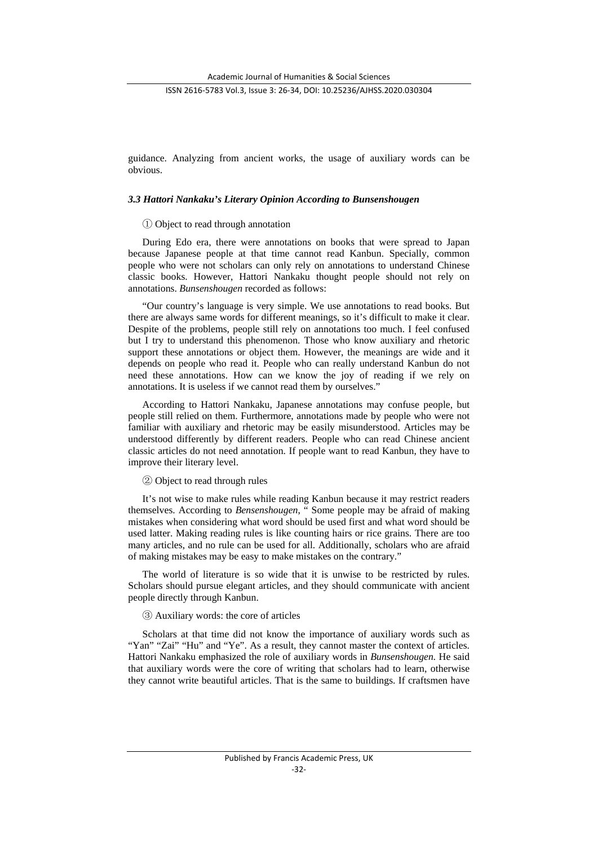guidance. Analyzing from ancient works, the usage of auxiliary words can be obvious.

### *3.3 Hattori Nankaku's Literary Opinion According to Bunsenshougen*

## ① Object to read through annotation

During Edo era, there were annotations on books that were spread to Japan because Japanese people at that time cannot read Kanbun. Specially, common people who were not scholars can only rely on annotations to understand Chinese classic books. However, Hattori Nankaku thought people should not rely on annotations. *Bunsenshougen* recorded as follows:

"Our country's language is very simple. We use annotations to read books. But there are always same words for different meanings, so it's difficult to make it clear. Despite of the problems, people still rely on annotations too much. I feel confused but I try to understand this phenomenon. Those who know auxiliary and rhetoric support these annotations or object them. However, the meanings are wide and it depends on people who read it. People who can really understand Kanbun do not need these annotations. How can we know the joy of reading if we rely on annotations. It is useless if we cannot read them by ourselves."

According to Hattori Nankaku, Japanese annotations may confuse people, but people still relied on them. Furthermore, annotations made by people who were not familiar with auxiliary and rhetoric may be easily misunderstood. Articles may be understood differently by different readers. People who can read Chinese ancient classic articles do not need annotation. If people want to read Kanbun, they have to improve their literary level.

### ② Object to read through rules

It's not wise to make rules while reading Kanbun because it may restrict readers themselves. According to *Bensenshougen*, " Some people may be afraid of making mistakes when considering what word should be used first and what word should be used latter. Making reading rules is like counting hairs or rice grains. There are too many articles, and no rule can be used for all. Additionally, scholars who are afraid of making mistakes may be easy to make mistakes on the contrary."

The world of literature is so wide that it is unwise to be restricted by rules. Scholars should pursue elegant articles, and they should communicate with ancient people directly through Kanbun.

## ③ Auxiliary words: the core of articles

Scholars at that time did not know the importance of auxiliary words such as "Yan" "Zai" "Hu" and "Ye". As a result, they cannot master the context of articles. Hattori Nankaku emphasized the role of auxiliary words in *Bunsenshougen.* He said that auxiliary words were the core of writing that scholars had to learn, otherwise they cannot write beautiful articles. That is the same to buildings. If craftsmen have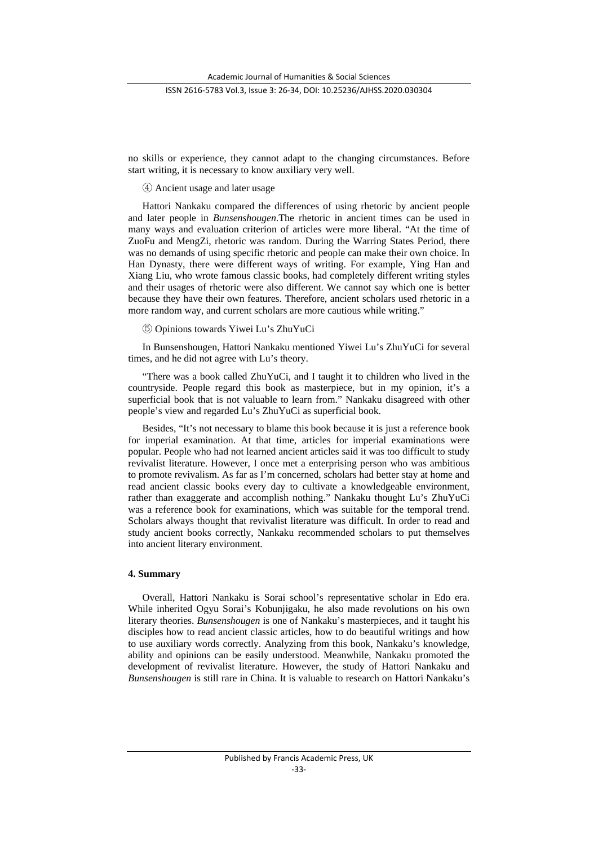no skills or experience, they cannot adapt to the changing circumstances. Before start writing, it is necessary to know auxiliary very well.

④ Ancient usage and later usage

Hattori Nankaku compared the differences of using rhetoric by ancient people and later people in *Bunsenshougen*.The rhetoric in ancient times can be used in many ways and evaluation criterion of articles were more liberal. "At the time of ZuoFu and MengZi, rhetoric was random. During the Warring States Period, there was no demands of using specific rhetoric and people can make their own choice. In Han Dynasty, there were different ways of writing. For example, Ying Han and Xiang Liu, who wrote famous classic books, had completely different writing styles and their usages of rhetoric were also different. We cannot say which one is better because they have their own features. Therefore, ancient scholars used rhetoric in a more random way, and current scholars are more cautious while writing."

#### ⑤ Opinions towards Yiwei Lu's ZhuYuCi

In Bunsenshougen, Hattori Nankaku mentioned Yiwei Lu's ZhuYuCi for several times, and he did not agree with Lu's theory.

"There was a book called ZhuYuCi, and I taught it to children who lived in the countryside. People regard this book as masterpiece, but in my opinion, it's a superficial book that is not valuable to learn from." Nankaku disagreed with other people's view and regarded Lu's ZhuYuCi as superficial book.

Besides, "It's not necessary to blame this book because it is just a reference book for imperial examination. At that time, articles for imperial examinations were popular. People who had not learned ancient articles said it was too difficult to study revivalist literature. However, I once met a enterprising person who was ambitious to promote revivalism. As far as I'm concerned, scholars had better stay at home and read ancient classic books every day to cultivate a knowledgeable environment, rather than exaggerate and accomplish nothing." Nankaku thought Lu's ZhuYuCi was a reference book for examinations, which was suitable for the temporal trend. Scholars always thought that revivalist literature was difficult. In order to read and study ancient books correctly, Nankaku recommended scholars to put themselves into ancient literary environment.

## **4. Summary**

Overall, Hattori Nankaku is Sorai school's representative scholar in Edo era. While inherited Ogyu Sorai's Kobunjigaku, he also made revolutions on his own literary theories. *Bunsenshougen* is one of Nankaku's masterpieces, and it taught his disciples how to read ancient classic articles, how to do beautiful writings and how to use auxiliary words correctly. Analyzing from this book, Nankaku's knowledge, ability and opinions can be easily understood. Meanwhile, Nankaku promoted the development of revivalist literature. However, the study of Hattori Nankaku and *Bunsenshougen* is still rare in China. It is valuable to research on Hattori Nankaku's